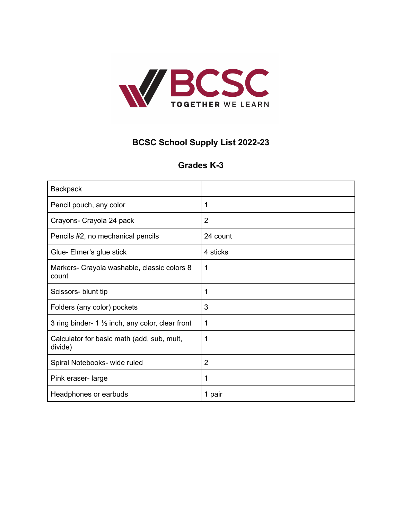

## **BCSC School Supply List 2022-23**

## **Grades K-3**

| <b>Backpack</b>                                             |                |
|-------------------------------------------------------------|----------------|
| Pencil pouch, any color                                     | 1              |
| Crayons- Crayola 24 pack                                    | $\overline{2}$ |
| Pencils #2, no mechanical pencils                           | 24 count       |
| Glue- Elmer's glue stick                                    | 4 sticks       |
| Markers- Crayola washable, classic colors 8<br>count        | 1              |
| Scissors- blunt tip                                         | 1              |
| Folders (any color) pockets                                 | 3              |
| 3 ring binder- 1 $\frac{1}{2}$ inch, any color, clear front | 1              |
| Calculator for basic math (add, sub, mult,<br>divide)       | 1              |
| Spiral Notebooks- wide ruled                                | $\overline{2}$ |
| Pink eraser-large                                           | 1              |
| Headphones or earbuds                                       | 1 pair         |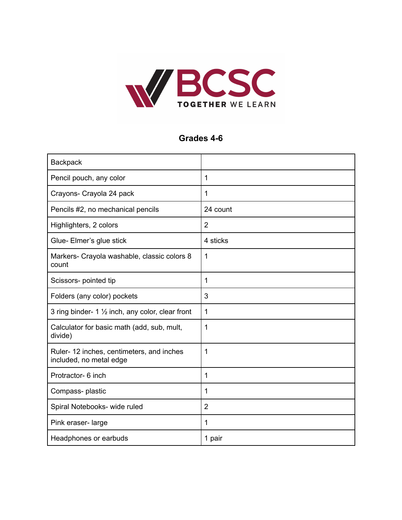

## **Grades 4-6**

| <b>Backpack</b>                                                     |                |
|---------------------------------------------------------------------|----------------|
| Pencil pouch, any color                                             | $\mathbf 1$    |
| Crayons- Crayola 24 pack                                            | $\mathbf{1}$   |
| Pencils #2, no mechanical pencils                                   | 24 count       |
| Highlighters, 2 colors                                              | $\overline{2}$ |
| Glue- Elmer's glue stick                                            | 4 sticks       |
| Markers- Crayola washable, classic colors 8<br>count                | 1              |
| Scissors- pointed tip                                               | $\mathbf 1$    |
| Folders (any color) pockets                                         | 3              |
| 3 ring binder- $1\frac{1}{2}$ inch, any color, clear front          | 1              |
| Calculator for basic math (add, sub, mult,<br>divide)               | 1              |
| Ruler-12 inches, centimeters, and inches<br>included, no metal edge | 1              |
| Protractor- 6 inch                                                  | $\mathbf 1$    |
| Compass-plastic                                                     | $\mathbf{1}$   |
| Spiral Notebooks- wide ruled                                        | $\overline{2}$ |
| Pink eraser-large                                                   | $\mathbf 1$    |
| Headphones or earbuds                                               | 1 pair         |